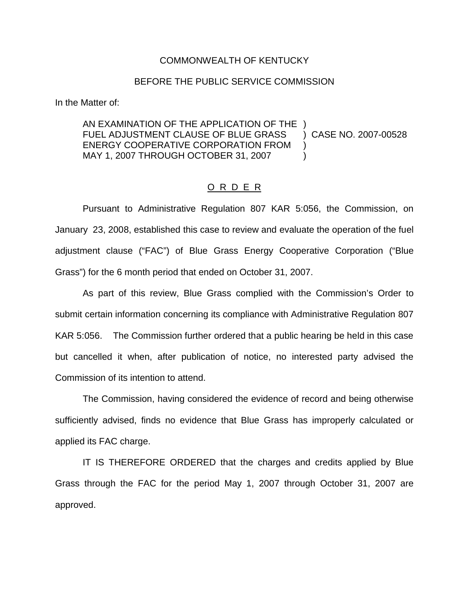## COMMONWEALTH OF KENTUCKY

## BEFORE THE PUBLIC SERVICE COMMISSION

In the Matter of:

AN EXAMINATION OF THE APPLICATION OF THE ) FUEL ADJUSTMENT CLAUSE OF BLUE GRASS ) CASE NO. 2007-00528 ENERGY COOPERATIVE CORPORATION FROM ) MAY 1, 2007 THROUGH OCTOBER 31, 2007

## O R D E R

Pursuant to Administrative Regulation 807 KAR 5:056, the Commission, on January 23, 2008, established this case to review and evaluate the operation of the fuel adjustment clause ("FAC") of Blue Grass Energy Cooperative Corporation ("Blue Grass") for the 6 month period that ended on October 31, 2007.

As part of this review, Blue Grass complied with the Commission's Order to submit certain information concerning its compliance with Administrative Regulation 807 KAR 5:056. The Commission further ordered that a public hearing be held in this case but cancelled it when, after publication of notice, no interested party advised the Commission of its intention to attend.

The Commission, having considered the evidence of record and being otherwise sufficiently advised, finds no evidence that Blue Grass has improperly calculated or applied its FAC charge.

IT IS THEREFORE ORDERED that the charges and credits applied by Blue Grass through the FAC for the period May 1, 2007 through October 31, 2007 are approved.